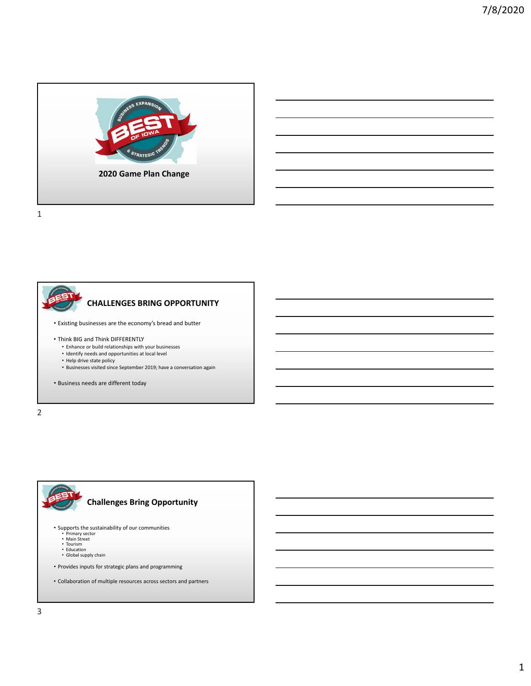

• Existing businesses are the economy's bread and butter • Think BIG and Think DIFFERENTLY • Enhance or build relationships with your businesses • Identify needs and opportunities at local level • Help drive state policy • Businesses visited since September 2019; have a conversation again • Business needs are different today **CHALLENGES BRING OPPORTUNITY**

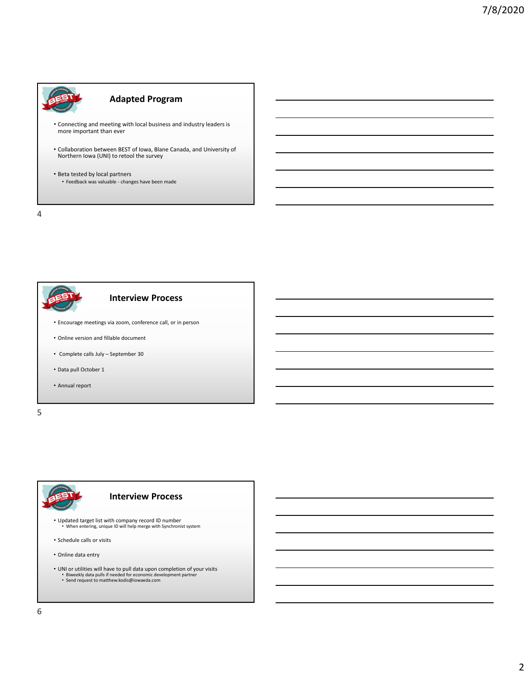

# **Adapted Program**

- Connecting and meeting with local business and industry leaders is more important than ever
- Collaboration between BEST of Iowa, Blane Canada, and University of Northern Iowa (UNI) to retool the survey
- Beta tested by local partners • Feedback was valuable ‐ changes have been made

4



5

# • Updated target list with company record ID number • When entering, unique ID will help merge with Synchronist system • Schedule calls or visits **Interview Process**

• Online data entry

- UNI or utilities will have to pull data upon completion of your visits<br>• Biweekly data pulls if needed for economic development partner<br>• Send request to matthew.kodis@iowaeda.com
	-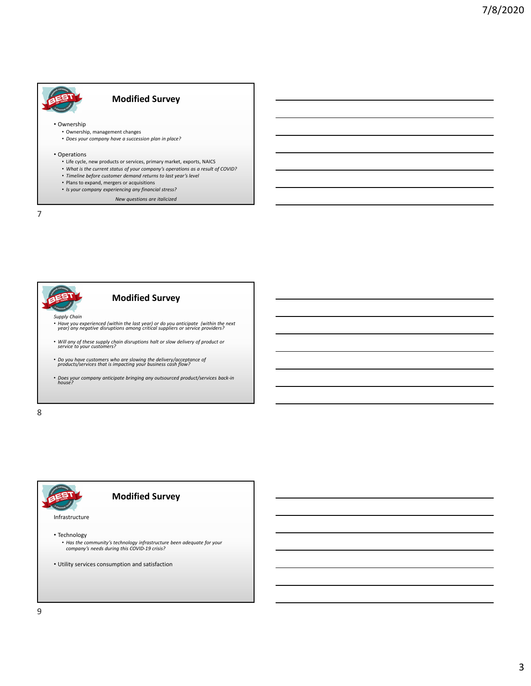# **Modified Survey**

• Ownership

- Ownership, management changes
- *Does your company have a succession plan in place?*

#### • Operations

- Life cycle, new products or services, primary market, exports, NAICS
- *What is the current status of your company's operations as a result of COVID?*
- *Timeline before customer demand returns to last year's level*
- Plans to expand, mergers or acquisitions
- *Is your company experiencing any financial stress?*

*New questions are italicized*

7



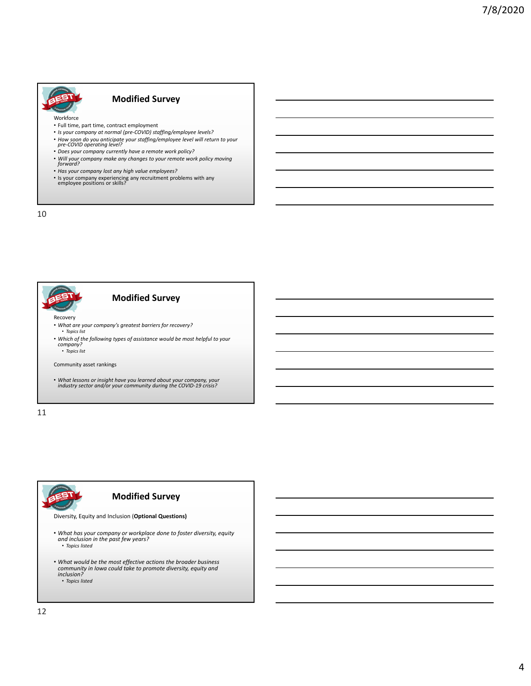

#### **Modified Survey**

Workforce

- Full time, part time, contract employment
- *Is your company at normal (pre‐COVID) staffing/employee levels?*
- *How soon do you anticipate your staffing/employee level will return to your pre‐COVID operating level?*
- *Does your company currently have a remote work policy?*
- *Will your company make any changes to your remote work policy moving forward?*
- *Has your company lost any high value employees?*
- Is your company experiencing any recruitment problems with any employee positions or skills?

10



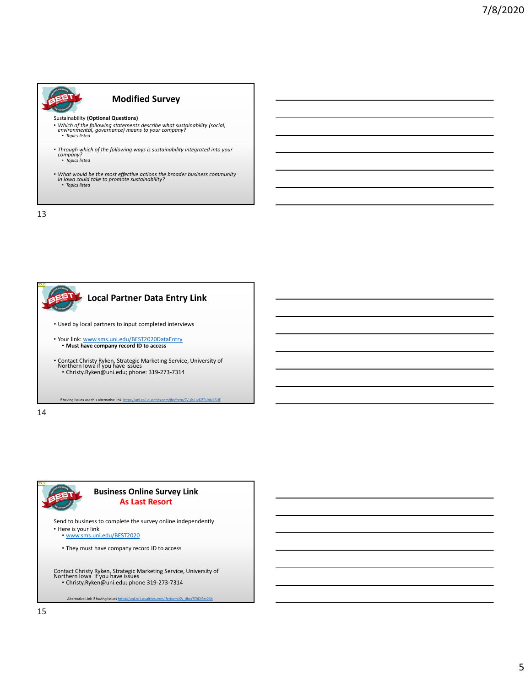

13



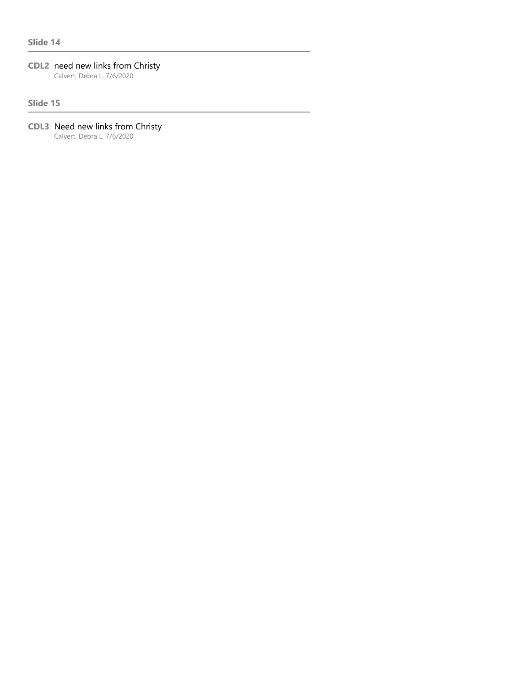# **CDL2** need new links from Christy

Calvert, Debra L, 7/6/2020

#### **Slide 15**

# **CDL3** Need new links from Christy

Calvert, Debra L, 7/6/2020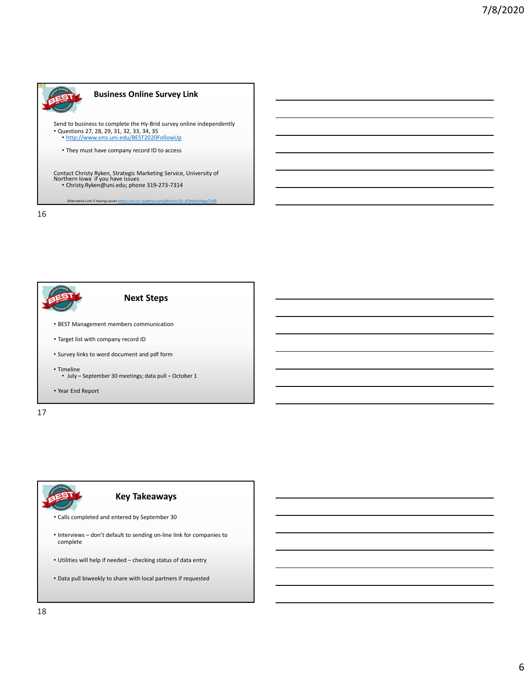

tive Link if having issues https://uni.co

16



17



• Data pull biweekly to share with local partners if requested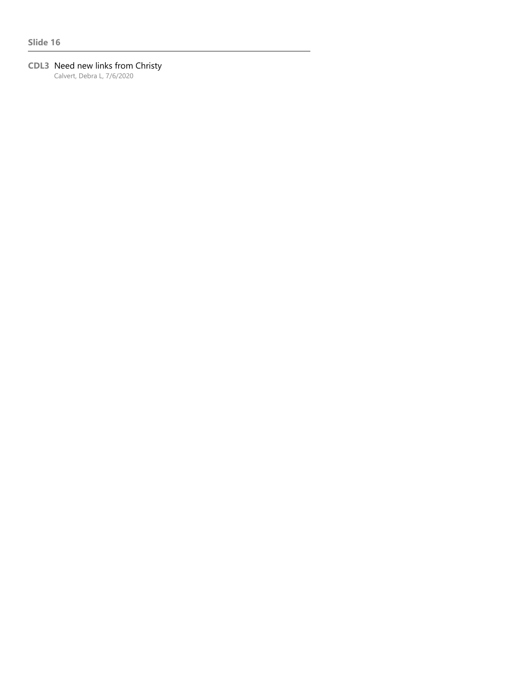# **CDL3** Need new links from Christy

Calvert, Debra L, 7/6/2020